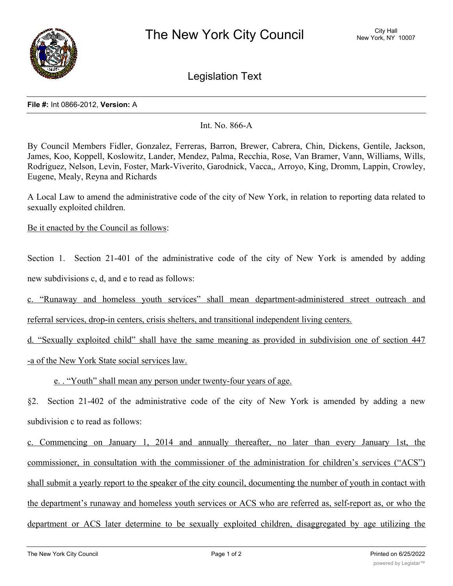

Legislation Text

## **File #:** Int 0866-2012, **Version:** A

Int. No. 866-A

By Council Members Fidler, Gonzalez, Ferreras, Barron, Brewer, Cabrera, Chin, Dickens, Gentile, Jackson, James, Koo, Koppell, Koslowitz, Lander, Mendez, Palma, Recchia, Rose, Van Bramer, Vann, Williams, Wills, Rodriguez, Nelson, Levin, Foster, Mark-Viverito, Garodnick, Vacca,, Arroyo, King, Dromm, Lappin, Crowley, Eugene, Mealy, Reyna and Richards

A Local Law to amend the administrative code of the city of New York, in relation to reporting data related to sexually exploited children.

Be it enacted by the Council as follows:

Section 1. Section 21-401 of the administrative code of the city of New York is amended by adding new subdivisions c, d, and e to read as follows:

c. "Runaway and homeless youth services" shall mean department-administered street outreach and

referral services, drop-in centers, crisis shelters, and transitional independent living centers.

d. "Sexually exploited child" shall have the same meaning as provided in subdivision one of section 447 -a of the New York State social services law.

e. . "Youth" shall mean any person under twenty-four years of age.

§2. Section 21-402 of the administrative code of the city of New York is amended by adding a new subdivision c to read as follows:

c. Commencing on January 1, 2014 and annually thereafter, no later than every January 1st, the commissioner, in consultation with the commissioner of the administration for children's services ("ACS") shall submit a yearly report to the speaker of the city council, documenting the number of youth in contact with the department's runaway and homeless youth services or ACS who are referred as, self-report as, or who the department or ACS later determine to be sexually exploited children, disaggregated by age utilizing the